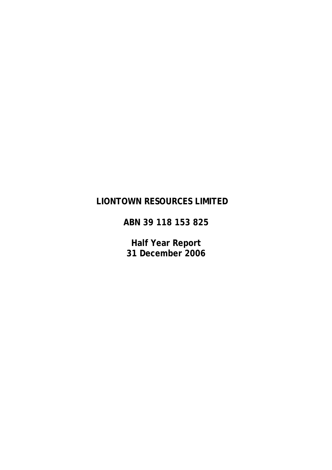# **LIONTOWN RESOURCES LIMITED**

**ABN 39 118 153 825** 

**Half Year Report 31 December 2006**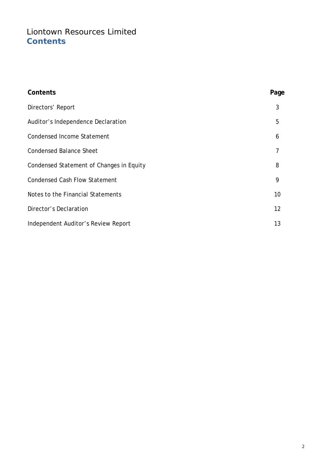# Liontown Resources Limited **Contents**

| Contents                                 | Page |
|------------------------------------------|------|
| Directors' Report                        | 3    |
| Auditor's Independence Declaration       | 5    |
| <b>Condensed Income Statement</b>        | 6    |
| <b>Condensed Balance Sheet</b>           | 7    |
| Condensed Statement of Changes in Equity | 8    |
| <b>Condensed Cash Flow Statement</b>     | 9    |
| Notes to the Financial Statements        | 10   |
| Director's Declaration                   | 12   |
| Independent Auditor's Review Report      | 13   |
|                                          |      |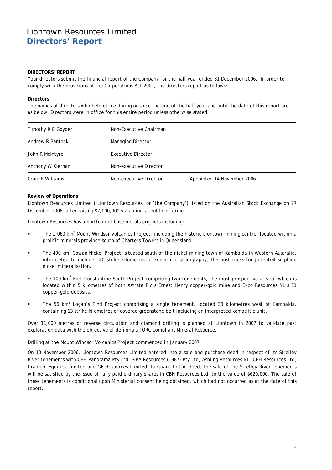## Liontown Resources Limited **Directors' Report**

#### **DIRECTORS' REPORT**

Your directors submit the financial report of the Company for the half year ended 31 December 2006. In order to comply with the provisions of the Corporations Act 2001, the directors report as follows:

#### **Directors**

The names of directors who held office during or since the end of the half year and until the date of this report are as below. Directors were in office for this entire period unless otherwise stated.

| Timothy R B Goyder | Non-Executive Chairman |                            |
|--------------------|------------------------|----------------------------|
| Andrew R Bantock   | Managing Director      |                            |
| John R McIntyre    | Executive Director     |                            |
| Anthony W Kiernan  | Non-executive Director |                            |
| Craig R Williams   | Non-executive Director | Appointed 14 November 2006 |

#### **Review of Operations**

Liontown Resources Limited ('Liontown Resources' or 'the Company') listed on the Australian Stock Exchange on 27 December 2006, after raising \$7,000,000 via an initial public offering.

Liontown Resources has a portfolio of base metals projects including:

- The 1,060 km<sup>2</sup> Mount Windsor Volcanics Project, including the historic Liontown mining centre, located within a prolific minerals province south of Charters Towers in Queensland.
- The 490 km<sup>2</sup> Cowan Nickel Project, situated south of the nickel mining town of Kambalda in Western Australia, interpreted to include 180 strike kilometres of komatiitic stratigraphy, the host rocks for potential sulphide nickel mineralisation.
- The 100 km<sup>2</sup> Fort Constantine South Project comprising two tenements, the most prospective area of which is located within 5 kilometres of both Xstrata Plc's Ernest Henry copper-gold mine and Exco Resources NL's E1 copper-gold deposits.
- **The 56 km<sup>2</sup> Logan's Find Project comprising a single tenement, located 30 kilometres west of Kambalda,** containing 13 strike kilometres of covered greenstone belt including an interpreted komatiitic unit.

Over 11,000 metres of reverse circulation and diamond drilling is planned at Liontown in 2007 to validate past exploration data with the objective of defining a JORC compliant Mineral Resource.

Drilling at the Mount Windsor Volcanics Project commenced in January 2007.

On 10 November 2006, Liontown Resources Limited entered into a sale and purchase deed in respect of its Strelley River tenements with CBH Panorama Pty Ltd, SIPA Resources (1987) Pty Ltd, Ashling Resources NL, CBH Resources Ltd, Uranium Equities Limited and GE Resources Limited. Pursuant to the deed, the sale of the Strelley River tenements will be satisfied by the issue of fully paid ordinary shares in CBH Resources Ltd, to the value of \$620,000. The sale of these tenements is conditional upon Ministerial consent being obtained, which had not occurred as at the date of this report.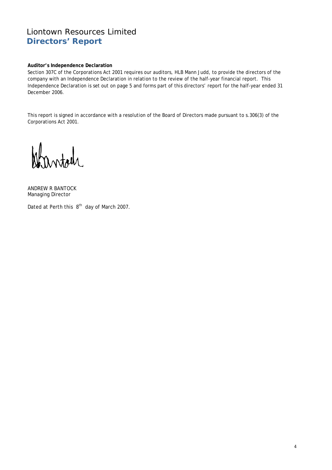## Liontown Resources Limited **Directors' Report**

#### **Auditor's Independence Declaration**

Section 307C of the Corporations Act 2001 requires our auditors, HLB Mann Judd, to provide the directors of the company with an Independence Declaration in relation to the review of the half-year financial report. This Independence Declaration is set out on page 5 and forms part of this directors' report for the half-year ended 31 December 2006.

This report is signed in accordance with a resolution of the Board of Directors made pursuant to s.306(3) of the Corporations Act 2001.

ANDREW R BANTOCK Managing Director

Dated at Perth this 8<sup>th</sup> day of March 2007.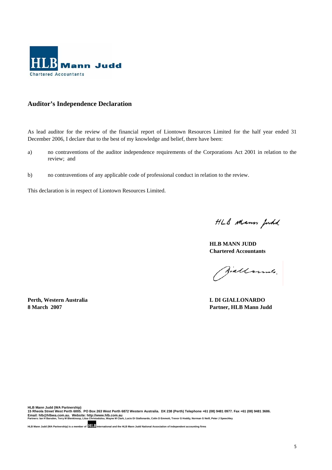

## **Auditor's Independence Declaration**

As lead auditor for the review of the financial report of Liontown Resources Limited for the half year ended 31 December 2006, I declare that to the best of my knowledge and belief, there have been:

- a) no contraventions of the auditor independence requirements of the Corporations Act 2001 in relation to the review; and
- b) no contraventions of any applicable code of professional conduct in relation to the review.

This declaration is in respect of Liontown Resources Limited.

HLB Mann Judd

**HLB MANN JUDD Chartered Accountants** 

Siallounts.

**Perth, Western Australia L DI GIALLONARDO 8 March 2007 Partner, HLB Mann Judd**

HLB Mann Judd (WA Partnership)<br>15 Rheola Street West Perth 6005. PO Box 263 West Perth 6872 Western Australia. DX 238 (Perth) Telephone +61 (08) 9481 0977. Fax +61 (08) 9481 3686.<br>Email: hIb@hIbwa.com.au. Website: http: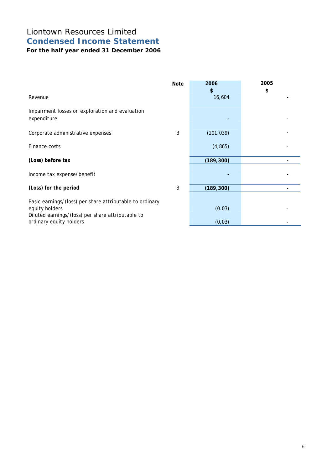# Liontown Resources Limited **Condensed Income Statement**

**For the half year ended 31 December 2006** 

| Revenue                                                                                                                                                    | <b>Note</b> | 2006<br>\$<br>16,604 | 2005<br>\$ |
|------------------------------------------------------------------------------------------------------------------------------------------------------------|-------------|----------------------|------------|
| Impairment losses on exploration and evaluation<br>expenditure                                                                                             |             |                      |            |
| Corporate administrative expenses                                                                                                                          | 3           | (201, 039)           |            |
| Finance costs                                                                                                                                              |             | (4, 865)             |            |
| (Loss) before tax                                                                                                                                          |             | (189, 300)           |            |
| Income tax expense/benefit                                                                                                                                 |             |                      |            |
| (Loss) for the period                                                                                                                                      | 3           | (189, 300)           |            |
| Basic earnings/(loss) per share attributable to ordinary<br>equity holders<br>Diluted earnings/(loss) per share attributable to<br>ordinary equity holders |             | (0.03)<br>(0.03)     |            |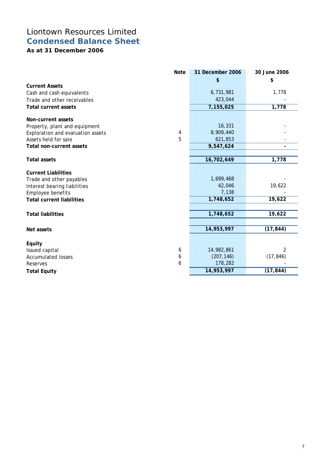# Liontown Resources Limited **Condensed Balance Sheet**

**As at 31 December 2006** 

|                                   | <b>Note</b> | 31 December 2006 | 30 June 2006 |
|-----------------------------------|-------------|------------------|--------------|
|                                   |             | \$               | \$           |
| <b>Current Assets</b>             |             |                  |              |
| Cash and cash equivalents         |             | 6,731,981        | 1,778        |
| Trade and other receivables       |             | 423,044          |              |
| <b>Total current assets</b>       |             | 7,155,025        | 1,778        |
| Non-current assets                |             |                  |              |
| Property, plant and equipment     |             | 16,331           |              |
| Exploration and evaluation assets | 4           | 8,909,440        |              |
| Assets held for sale              | 5           | 621,853          |              |
| <b>Total non-current assets</b>   |             | 9,547,624        |              |
|                                   |             |                  |              |
| <b>Total assets</b>               |             | 16,702,649       | 1,778        |
| <b>Current Liabilities</b>        |             |                  |              |
| Trade and other payables          |             | 1,699,468        |              |
| Interest bearing liabilities      |             | 42,046           | 19,622       |
| Employee benefits                 |             | 7,138            |              |
| <b>Total current liabilities</b>  |             | 1,748,652        | 19,622       |
|                                   |             |                  |              |
| <b>Total liabilities</b>          |             | 1,748,652        | 19,622       |
|                                   |             |                  |              |
| Net assets                        |             | 14,953,997       | (17, 844)    |
|                                   |             |                  |              |
| Equity                            |             |                  |              |
| Issued capital                    | 6           | 14,982,861       | 2            |
| <b>Accumulated losses</b>         | 6           | (207, 146)       | (17, 846)    |
| Reserves                          | 6           | 178,282          |              |
| <b>Total Equity</b>               |             | 14,953,997       | (17, 844)    |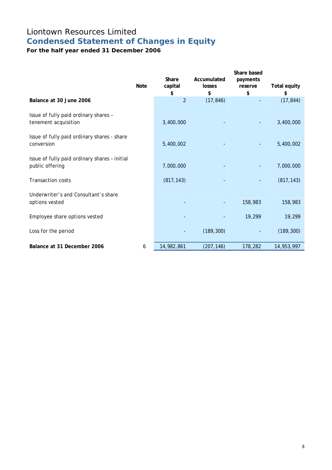# Liontown Resources Limited **Condensed Statement of Changes in Equity**

**For the half year ended 31 December 2006** 

|                                                                  | <b>Note</b> | Share<br>capital<br>\$ | Accumulated<br>losses<br>\$ | Share based<br>payments<br>reserve<br>\$ | <b>Total equity</b><br>\$ |
|------------------------------------------------------------------|-------------|------------------------|-----------------------------|------------------------------------------|---------------------------|
| Balance at 30 June 2006                                          |             | $\overline{2}$         | (17, 846)                   |                                          | (17, 844)                 |
| Issue of fully paid ordinary shares -<br>tenement acquisition    |             | 3,400,000              |                             |                                          | 3,400,000                 |
| Issue of fully paid ordinary shares - share<br>conversion        |             | 5,400,002              |                             |                                          | 5,400,002                 |
| Issue of fully paid ordinary shares - initial<br>public offering |             | 7,000,000              |                             |                                          | 7,000,000                 |
| <b>Transaction costs</b>                                         |             | (817, 143)             |                             |                                          | (817, 143)                |
| Underwriter's and Consultant's share<br>options vested           |             |                        | $\overline{\phantom{a}}$    | 158,983                                  | 158,983                   |
| Employee share options vested                                    |             |                        |                             | 19,299                                   | 19,299                    |
| Loss for the period                                              |             |                        | (189, 300)                  |                                          | (189, 300)                |
| Balance at 31 December 2006                                      | 6           | 14,982,861             | (207, 146)                  | 178,282                                  | 14,953,997                |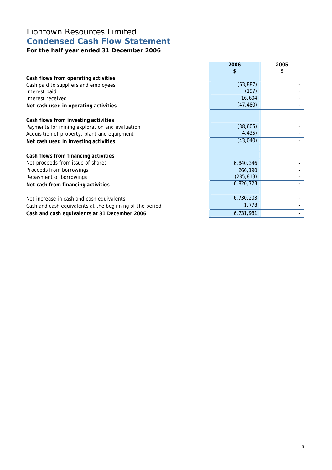# Liontown Resources Limited **Condensed Cash Flow Statement**

## **For the half year ended 31 December 2006**

|                                                          | 2006<br>\$ | 2005<br>\$ |
|----------------------------------------------------------|------------|------------|
| Cash flows from operating activities                     |            |            |
| Cash paid to suppliers and employees                     | (63, 887)  |            |
| Interest paid                                            | (197)      |            |
| Interest received                                        | 16,604     |            |
| Net cash used in operating activities                    | (47, 480)  |            |
|                                                          |            |            |
| Cash flows from investing activities                     |            |            |
| Payments for mining exploration and evaluation           | (38, 605)  |            |
| Acquisition of property, plant and equipment             | (4, 435)   |            |
| Net cash used in investing activities                    | (43, 040)  |            |
|                                                          |            |            |
| Cash flows from financing activities                     |            |            |
| Net proceeds from issue of shares                        | 6,840,346  |            |
| Proceeds from borrowings                                 | 266,190    |            |
| Repayment of borrowings                                  | (285, 813) |            |
| Net cash from financing activities                       | 6,820,723  |            |
|                                                          |            |            |
| Net increase in cash and cash equivalents                | 6,730,203  |            |
| Cash and cash equivalents at the beginning of the period | 1,778      |            |
| Cash and cash equivalents at 31 December 2006            | 6,731,981  |            |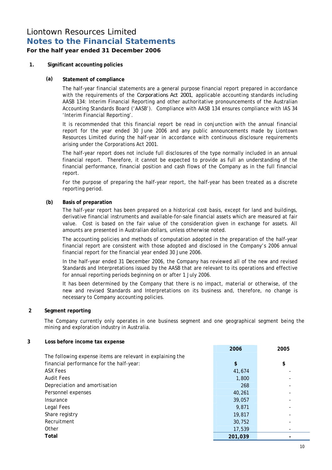## Liontown Resources Limited **Notes to the Financial Statements**

## **For the half year ended 31 December 2006**

### **1. Significant accounting policies**

#### **(a) Statement of compliance**

The half-year financial statements are a general purpose financial report prepared in accordance with the requirements of the *Corporations Act 2001*, applicable accounting standards including AASB 134: Interim Financial Reporting and other authoritative pronouncements of the Australian Accounting Standards Board ('AASB'). Compliance with AASB 134 ensures compliance with IAS 34 'Interim Financial Reporting'.

It is recommended that this financial report be read in conjunction with the annual financial report for the year ended 30 June 2006 and any public announcements made by Liontown Resources Limited during the half-year in accordance with continuous disclosure requirements arising under the Corporations Act 2001.

The half-year report does not include full disclosures of the type normally included in an annual financial report. Therefore, it cannot be expected to provide as full an understanding of the financial performance, financial position and cash flows of the Company as in the full financial report.

For the purpose of preparing the half-year report, the half-year has been treated as a discrete reporting period.

### **(b) Basis of preparation**

The half-year report has been prepared on a historical cost basis, except for land and buildings, derivative financial instruments and available-for-sale financial assets which are measured at fair value. Cost is based on the fair value of the consideration given in exchange for assets. All amounts are presented in Australian dollars, unless otherwise noted.

The accounting policies and methods of computation adopted in the preparation of the half-year financial report are consistent with those adopted and disclosed in the Company's 2006 annual financial report for the financial year ended 30 June 2006.

In the half-year ended 31 December 2006, the Company has reviewed all of the new and revised Standards and Interpretations issued by the AASB that are relevant to its operations and effective for annual reporting periods beginning on or after 1 July 2006.

It has been determined by the Company that there is no impact, material or otherwise, of the new and revised Standards and Interpretations on its business and, therefore, no change is necessary to Company accounting policies.

#### **2 Segment reporting**

The Company currently only operates in one business segment and one geographical segment being the mining and exploration industry in Australia.

#### **3 Loss before income tax expense**

|                                                            | 2006    | 2005 |
|------------------------------------------------------------|---------|------|
| The following expense items are relevant in explaining the |         |      |
| financial performance for the half-year:                   | \$      | \$   |
| <b>ASX Fees</b>                                            | 41,674  |      |
| <b>Audit Fees</b>                                          | 1,800   |      |
| Depreciation and amortisation                              | 268     |      |
| Personnel expenses                                         | 40,261  |      |
| Insurance                                                  | 39,057  |      |
| Legal Fees                                                 | 9.871   |      |
| Share registry                                             | 19,817  |      |
| Recruitment                                                | 30,752  |      |
| Other                                                      | 17,539  |      |
| Total                                                      | 201,039 |      |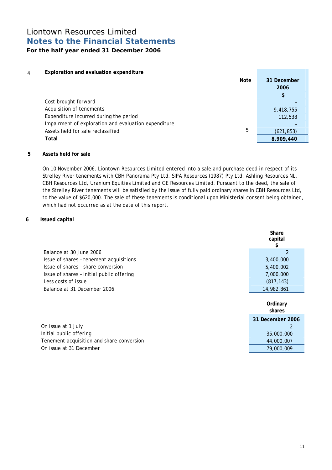## Liontown Resources Limited **Notes to the Financial Statements For the half year ended 31 December 2006**

## 4 **Exploration and evaluation expenditure**

| <b>Note</b>                                          | 31 December<br>2006 |
|------------------------------------------------------|---------------------|
|                                                      | \$                  |
| Cost brought forward                                 |                     |
| Acquisition of tenements                             | 9,418,755           |
| Expenditure incurred during the period               | 112,538             |
| Impairment of exploration and evaluation expenditure |                     |
| 5<br>Assets held for sale reclassified               | (621, 853)          |
| Total                                                | 8,909,440           |

#### **5 Assets held for sale**

On 10 November 2006, Liontown Resources Limited entered into a sale and purchase deed in respect of its Strelley River tenements with CBH Panorama Pty Ltd, SIPA Resources (1987) Pty Ltd, Ashling Resources NL, CBH Resources Ltd, Uranium Equities Limited and GE Resources Limited. Pursuant to the deed, the sale of the Strelley River tenements will be satisfied by the issue of fully paid ordinary shares in CBH Resources Ltd, to the value of \$620,000. The sale of these tenements is conditional upon Ministerial consent being obtained, which had not occurred as at the date of this report.

### **6 Issued capital**

|                                           | Share<br>capital<br>S |
|-------------------------------------------|-----------------------|
| Balance at 30 June 2006                   | $\mathfrak{p}$        |
| Issue of shares - tenement acquisitions   | 3,400,000             |
| Issue of shares - share conversion        | 5,400,002             |
| Issue of shares - initial public offering | 7,000,000             |
| Less costs of issue                       | (817, 143)            |
| Balance at 31 December 2006               | 14,982,861            |
|                                           | Ordinary<br>shares    |
|                                           | 31 December 2006      |
| On issue at 1 July                        | 2                     |
| Initial public offering                   | 35,000,000            |
| Tenement acquisition and share conversion | 44,000,007            |
| On issue at 31 December                   | 79,000,009            |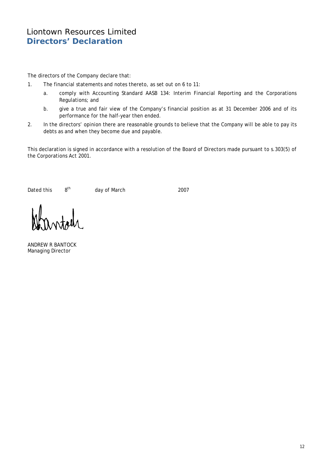## Liontown Resources Limited **Directors' Declaration**

The directors of the Company declare that:

- 1. The financial statements and notes thereto, as set out on 6 to 11:
	- a. comply with Accounting Standard AASB 134: Interim Financial Reporting and the Corporations Regulations; and
	- b. give a true and fair view of the Company's financial position as at 31 December 2006 and of its performance for the half-year then ended.
- 2. In the directors' opinion there are reasonable grounds to believe that the Company will be able to pay its debts as and when they become due and payable.

This declaration is signed in accordance with a resolution of the Board of Directors made pursuant to s.303(5) of the Corporations Act 2001.

Dated this  $8^{th}$  day of March 2007

ANDREW R BANTOCK Managing Director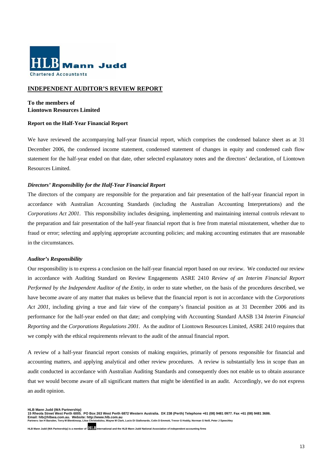

#### **INDEPENDENT AUDITOR'S REVIEW REPORT**

### **To the members of Liontown Resources Limited**

#### **Report on the Half-Year Financial Report**

We have reviewed the accompanying half-year financial report, which comprises the condensed balance sheet as at 31 December 2006, the condensed income statement, condensed statement of changes in equity and condensed cash flow statement for the half-year ended on that date, other selected explanatory notes and the directors' declaration, of Liontown Resources Limited.

#### *Directors' Responsibility for the Half-Year Financial Report*

The directors of the company are responsible for the preparation and fair presentation of the half-year financial report in accordance with Australian Accounting Standards (including the Australian Accounting Interpretations) and the *Corporations Act 2001*. This responsibility includes designing, implementing and maintaining internal controls relevant to the preparation and fair presentation of the half-year financial report that is free from material misstatement, whether due to fraud or error; selecting and applying appropriate accounting policies; and making accounting estimates that are reasonable in the circumstances.

#### *Auditor's Responsibility*

Our responsibility is to express a conclusion on the half-year financial report based on our review. We conducted our review in accordance with Auditing Standard on Review Engagements ASRE 2410 *Review of an Interim Financial Report Performed by the Independent Auditor of the Entity*, in order to state whether, on the basis of the procedures described, we have become aware of any matter that makes us believe that the financial report is not in accordance with the *Corporations Act 2001,* including giving a true and fair view of the company's financial position as at 31 December 2006 and its performance for the half-year ended on that date; and complying with Accounting Standard AASB 134 *Interim Financial Reporting* and the *Corporations Regulations 2001*. As the auditor of Liontown Resources Limited, ASRE 2410 requires that we comply with the ethical requirements relevant to the audit of the annual financial report.

A review of a half-year financial report consists of making enquiries, primarily of persons responsible for financial and accounting matters, and applying analytical and other review procedures. A review is substantially less in scope than an audit conducted in accordance with Australian Auditing Standards and consequently does not enable us to obtain assurance that we would become aware of all significant matters that might be identified in an audit. Accordingly, we do not express an audit opinion.

**HLB Mann Judd (WA Partnership) 15 Rheola Street West Perth 6005. PO Box 263 West Perth 6872 Western Australia. DX 238 (Perth) Telephone +61 (08) 9481 0977. Fax +61 (08) 9481 3686.**  ro ruicolla de la concerta de la Melosite: http://www.hlb.com.au<br>Email: hIb@hIbwa.com.au. Website: http://www.hIb.com.au<br>Partners: Ian H Rarsden, Terry M Blenkinson, Litsa Christodulou, Wayne M Clark, Lucio Di Giallonardo

**HLB Mann Judd (WA Partnership) is a member of International and the HLB Mann Judd National Association of independent accounting firms**